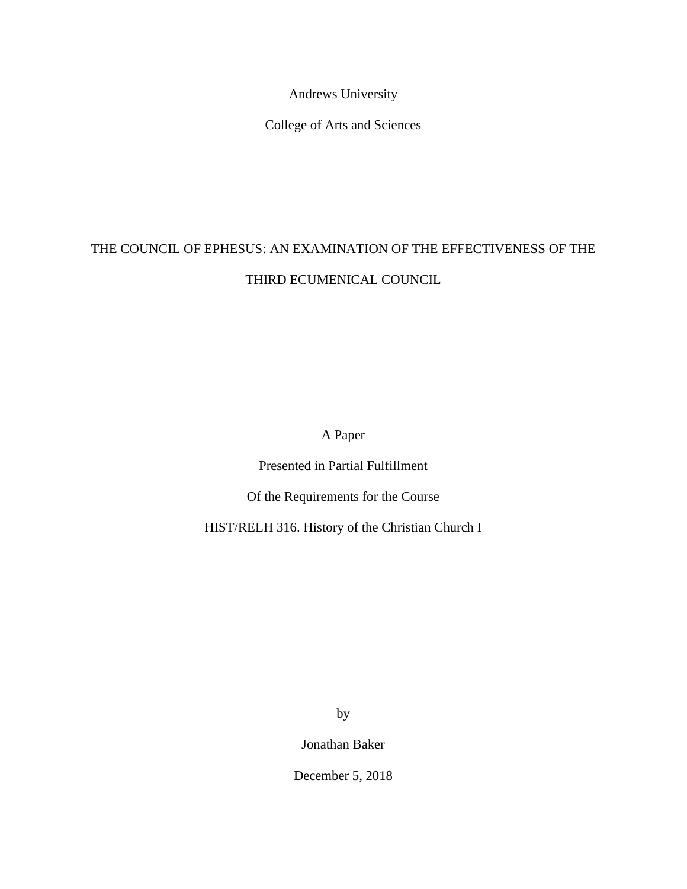Andrews University

College of Arts and Sciences

## THE COUNCIL OF EPHESUS: AN EXAMINATION OF THE EFFECTIVENESS OF THE THIRD ECUMENICAL COUNCIL

A Paper

Presented in Partial Fulfillment

Of the Requirements for the Course

HIST/RELH 316. History of the Christian Church I

by

Jonathan Baker

December 5, 2018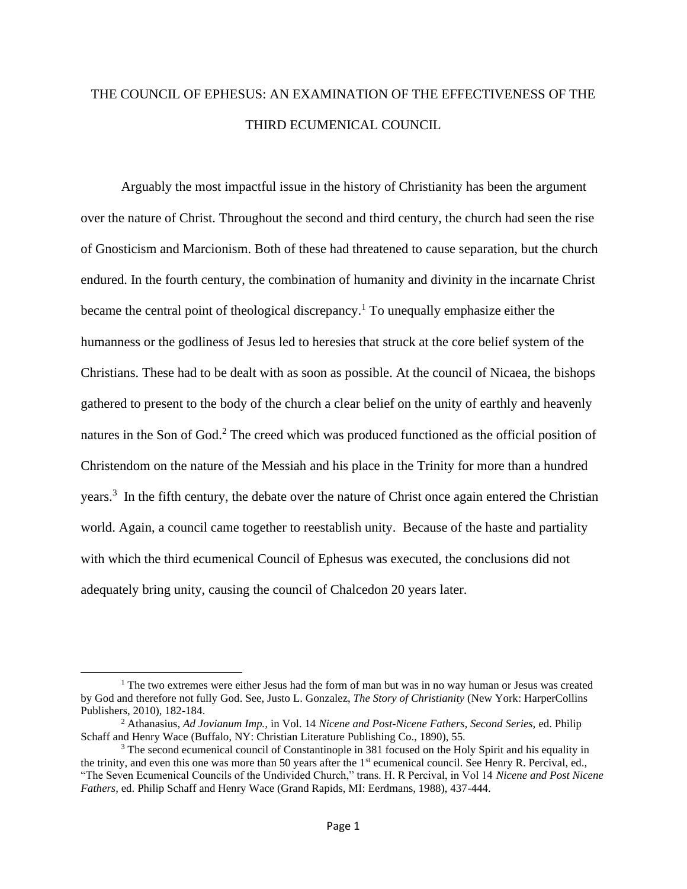## THE COUNCIL OF EPHESUS: AN EXAMINATION OF THE EFFECTIVENESS OF THE THIRD ECUMENICAL COUNCIL

Arguably the most impactful issue in the history of Christianity has been the argument over the nature of Christ. Throughout the second and third century, the church had seen the rise of Gnosticism and Marcionism. Both of these had threatened to cause separation, but the church endured. In the fourth century, the combination of humanity and divinity in the incarnate Christ became the central point of theological discrepancy.<sup>1</sup> To unequally emphasize either the humanness or the godliness of Jesus led to heresies that struck at the core belief system of the Christians. These had to be dealt with as soon as possible. At the council of Nicaea, the bishops gathered to present to the body of the church a clear belief on the unity of earthly and heavenly natures in the Son of God.<sup>2</sup> The creed which was produced functioned as the official position of Christendom on the nature of the Messiah and his place in the Trinity for more than a hundred years.<sup>3</sup> In the fifth century, the debate over the nature of Christ once again entered the Christian world. Again, a council came together to reestablish unity. Because of the haste and partiality with which the third ecumenical Council of Ephesus was executed, the conclusions did not adequately bring unity, causing the council of Chalcedon 20 years later.

 $<sup>1</sup>$  The two extremes were either Jesus had the form of man but was in no way human or Jesus was created</sup> by God and therefore not fully God. See, Justo L. Gonzalez, *The Story of Christianity* (New York: HarperCollins Publishers, 2010), 182-184.

<sup>2</sup> Athanasius, *Ad Jovianum Imp.,* in Vol. 14 *Nicene and Post-Nicene Fathers, Second Series,* ed. Philip Schaff and Henry Wace (Buffalo, NY: Christian Literature Publishing Co., 1890), 55.

<sup>&</sup>lt;sup>3</sup> The second ecumenical council of Constantinople in 381 focused on the Holy Spirit and his equality in the trinity, and even this one was more than 50 years after the  $1<sup>st</sup>$  ecumenical council. See Henry R. Percival, ed., "The Seven Ecumenical Councils of the Undivided Church," trans. H. R Percival, in Vol 14 *Nicene and Post Nicene Fathers*, ed. Philip Schaff and Henry Wace (Grand Rapids, MI: Eerdmans, 1988), 437-444.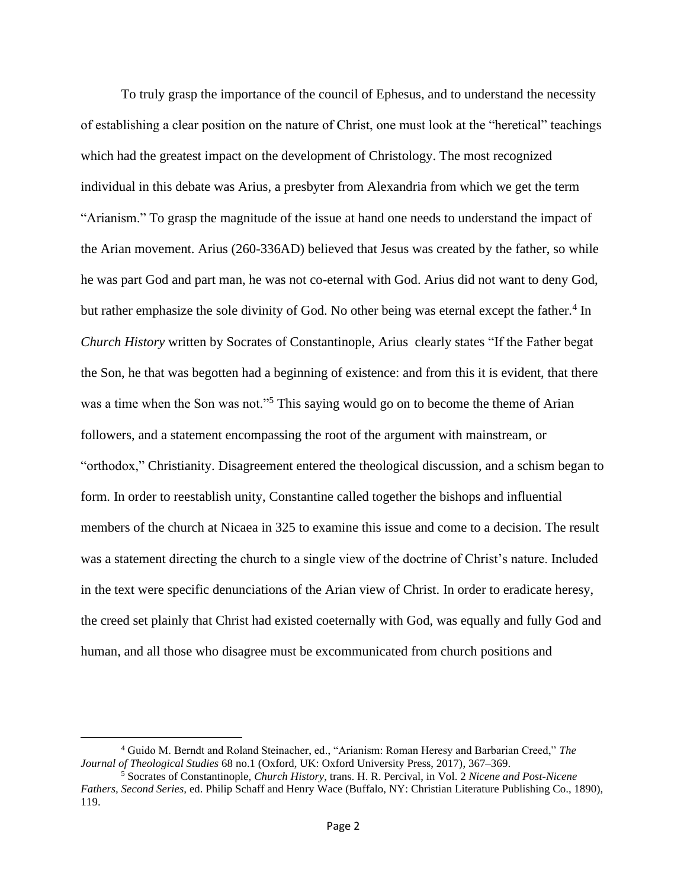To truly grasp the importance of the council of Ephesus, and to understand the necessity of establishing a clear position on the nature of Christ, one must look at the "heretical" teachings which had the greatest impact on the development of Christology. The most recognized individual in this debate was Arius, a presbyter from Alexandria from which we get the term "Arianism." To grasp the magnitude of the issue at hand one needs to understand the impact of the Arian movement. Arius (260-336AD) believed that Jesus was created by the father, so while he was part God and part man, he was not co-eternal with God. Arius did not want to deny God, but rather emphasize the sole divinity of God. No other being was eternal except the father.<sup>4</sup> In *Church History* written by Socrates of Constantinople, Arius clearly states "If the Father begat the Son, he that was begotten had a beginning of existence: and from this it is evident, that there was a time when the Son was not."<sup>5</sup> This saying would go on to become the theme of Arian followers, and a statement encompassing the root of the argument with mainstream, or "orthodox," Christianity. Disagreement entered the theological discussion, and a schism began to form. In order to reestablish unity, Constantine called together the bishops and influential members of the church at Nicaea in 325 to examine this issue and come to a decision. The result was a statement directing the church to a single view of the doctrine of Christ's nature. Included in the text were specific denunciations of the Arian view of Christ. In order to eradicate heresy, the creed set plainly that Christ had existed coeternally with God, was equally and fully God and human, and all those who disagree must be excommunicated from church positions and

<sup>4</sup> Guido M. Berndt and Roland Steinacher, ed., "Arianism: Roman Heresy and Barbarian Creed," *The Journal of Theological Studies* 68 no.1 (Oxford, UK: Oxford University Press, 2017), 367–369.

<sup>5</sup> Socrates of Constantinople, *Church History*, trans. H. R. Percival, in Vol. 2 *Nicene and Post-Nicene Fathers, Second Series,* ed. Philip Schaff and Henry Wace (Buffalo, NY: Christian Literature Publishing Co., 1890), 119.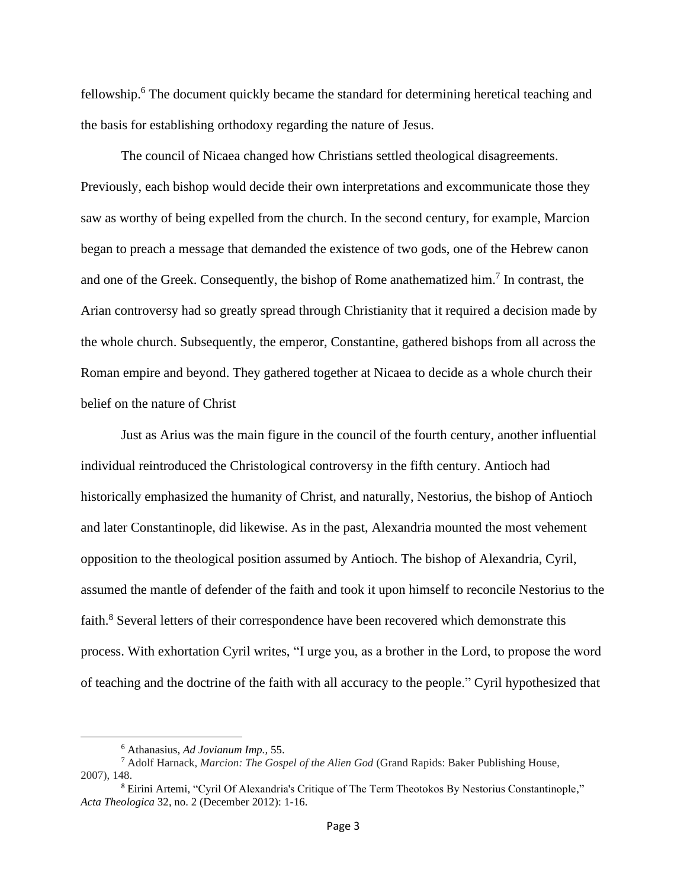fellowship.<sup>6</sup> The document quickly became the standard for determining heretical teaching and the basis for establishing orthodoxy regarding the nature of Jesus.

The council of Nicaea changed how Christians settled theological disagreements. Previously, each bishop would decide their own interpretations and excommunicate those they saw as worthy of being expelled from the church. In the second century, for example, Marcion began to preach a message that demanded the existence of two gods, one of the Hebrew canon and one of the Greek. Consequently, the bishop of Rome anathematized him.<sup>7</sup> In contrast, the Arian controversy had so greatly spread through Christianity that it required a decision made by the whole church. Subsequently, the emperor, Constantine, gathered bishops from all across the Roman empire and beyond. They gathered together at Nicaea to decide as a whole church their belief on the nature of Christ

Just as Arius was the main figure in the council of the fourth century, another influential individual reintroduced the Christological controversy in the fifth century. Antioch had historically emphasized the humanity of Christ, and naturally, Nestorius, the bishop of Antioch and later Constantinople, did likewise. As in the past, Alexandria mounted the most vehement opposition to the theological position assumed by Antioch. The bishop of Alexandria, Cyril, assumed the mantle of defender of the faith and took it upon himself to reconcile Nestorius to the faith.<sup>8</sup> Several letters of their correspondence have been recovered which demonstrate this process. With exhortation Cyril writes, "I urge you, as a brother in the Lord, to propose the word of teaching and the doctrine of the faith with all accuracy to the people." Cyril hypothesized that

<sup>6</sup> Athanasius, *Ad Jovianum Imp.,* 55.

<sup>7</sup> Adolf Harnack, *Marcion: The Gospel of the Alien God* (Grand Rapids: Baker Publishing House, 2007), 148.

<sup>&</sup>lt;sup>8</sup> Eirini Artemi, "Cyril Of Alexandria's Critique of The Term Theotokos By Nestorius Constantinople," *Acta Theologica* 32, no. 2 (December 2012): 1-16.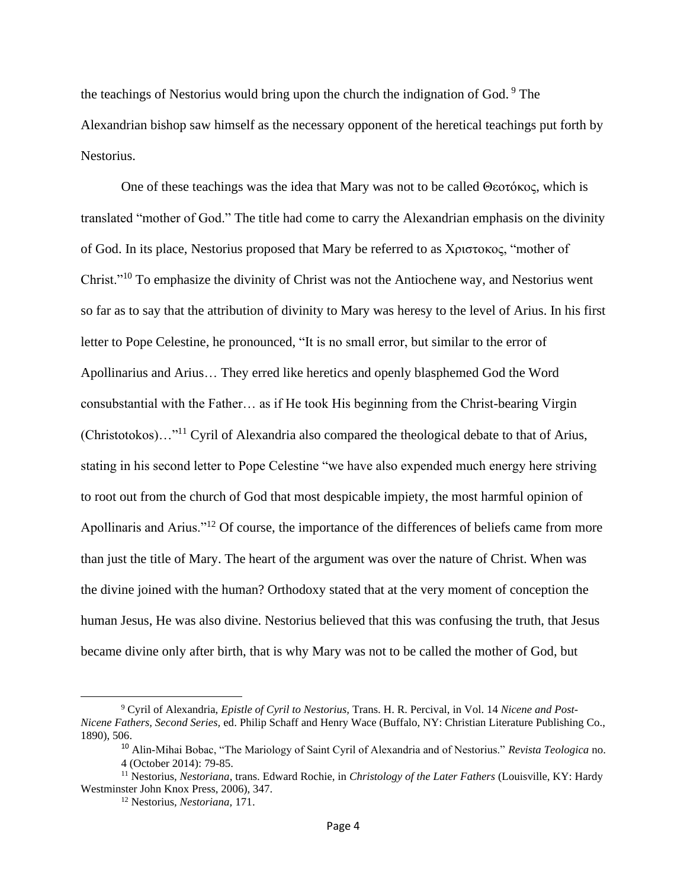the teachings of Nestorius would bring upon the church the indignation of God. <sup>9</sup> The Alexandrian bishop saw himself as the necessary opponent of the heretical teachings put forth by Nestorius.

One of these teachings was the idea that Mary was not to be called Θεοτόκος, which is translated "mother of God." The title had come to carry the Alexandrian emphasis on the divinity of God. In its place, Nestorius proposed that Mary be referred to as Χριστοκος, "mother of Christ."<sup>10</sup> To emphasize the divinity of Christ was not the Antiochene way, and Nestorius went so far as to say that the attribution of divinity to Mary was heresy to the level of Arius. In his first letter to Pope Celestine, he pronounced, "It is no small error, but similar to the error of Apollinarius and Arius… They erred like heretics and openly blasphemed God the Word consubstantial with the Father… as if He took His beginning from the Christ-bearing Virgin (Christotokos)…"<sup>11</sup> Cyril of Alexandria also compared the theological debate to that of Arius, stating in his second letter to Pope Celestine "we have also expended much energy here striving to root out from the church of God that most despicable impiety, the most harmful opinion of Apollinaris and Arius."<sup>12</sup> Of course, the importance of the differences of beliefs came from more than just the title of Mary. The heart of the argument was over the nature of Christ. When was the divine joined with the human? Orthodoxy stated that at the very moment of conception the human Jesus, He was also divine. Nestorius believed that this was confusing the truth, that Jesus became divine only after birth, that is why Mary was not to be called the mother of God, but

<sup>9</sup> Cyril of Alexandria, *Epistle of Cyril to Nestorius,* Trans. H. R. Percival, in Vol. 14 *Nicene and Post-Nicene Fathers, Second Series,* ed. Philip Schaff and Henry Wace (Buffalo, NY: Christian Literature Publishing Co., 1890), 506.

<sup>10</sup> Alin-Mihai Bobac, "The Mariology of Saint Cyril of Alexandria and of Nestorius." *Revista Teologica* no. 4 (October 2014): 79-85.

<sup>11</sup> Nestorius*, Nestoriana*, trans. Edward Rochie, in *Christology of the Later Fathers* (Louisville, KY: Hardy Westminster John Knox Press, 2006), 347.

<sup>12</sup> Nestorius*, Nestoriana,* 171.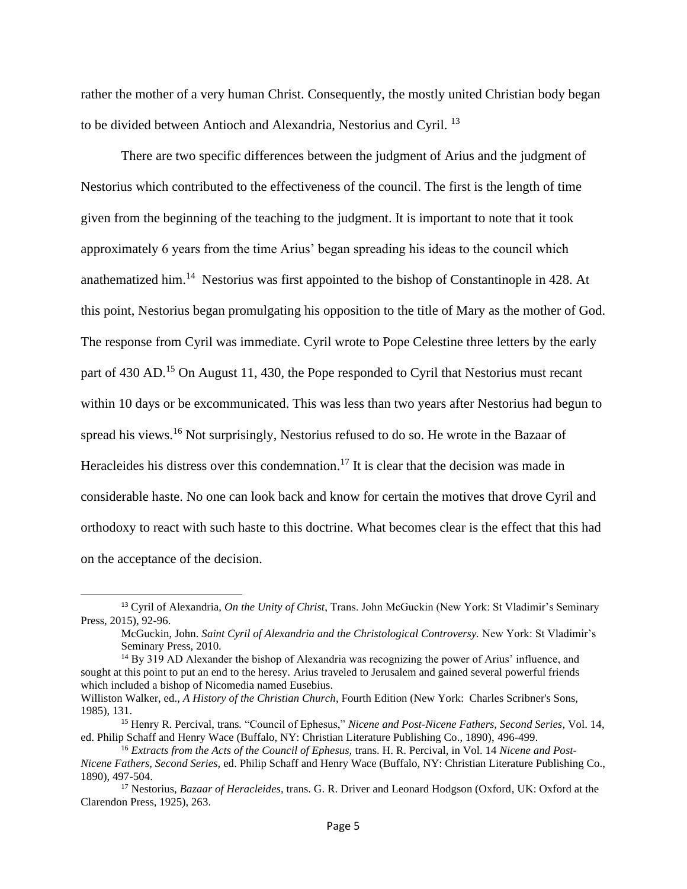rather the mother of a very human Christ. Consequently, the mostly united Christian body began to be divided between Antioch and Alexandria, Nestorius and Cyril. <sup>13</sup>

There are two specific differences between the judgment of Arius and the judgment of Nestorius which contributed to the effectiveness of the council. The first is the length of time given from the beginning of the teaching to the judgment. It is important to note that it took approximately 6 years from the time Arius' began spreading his ideas to the council which anathematized him.<sup>14</sup> Nestorius was first appointed to the bishop of Constantinople in 428. At this point, Nestorius began promulgating his opposition to the title of Mary as the mother of God. The response from Cyril was immediate. Cyril wrote to Pope Celestine three letters by the early part of 430 AD.<sup>15</sup> On August 11, 430, the Pope responded to Cyril that Nestorius must recant within 10 days or be excommunicated. This was less than two years after Nestorius had begun to spread his views.<sup>16</sup> Not surprisingly, Nestorius refused to do so. He wrote in the Bazaar of Heracleides his distress over this condemnation.<sup>17</sup> It is clear that the decision was made in considerable haste. No one can look back and know for certain the motives that drove Cyril and orthodoxy to react with such haste to this doctrine. What becomes clear is the effect that this had on the acceptance of the decision.

<sup>13</sup> Cyril of Alexandria, *On the Unity of Christ*, Trans. John McGuckin (New York: St Vladimir's Seminary Press, 2015), 92-96.

McGuckin, John. *Saint Cyril of Alexandria and the Christological Controversy.* New York: St Vladimir's Seminary Press, 2010.

<sup>&</sup>lt;sup>14</sup> By 319 AD Alexander the bishop of Alexandria was recognizing the power of Arius' influence, and sought at this point to put an end to the heresy. Arius traveled to Jerusalem and gained several powerful friends which included a bishop of Nicomedia named Eusebius.

Williston Walker, ed., *A History of the Christian Church*, Fourth Edition (New York: Charles Scribner's Sons, 1985), 131.

<sup>15</sup> Henry R. Percival, trans*.* "Council of Ephesus," *Nicene and Post-Nicene Fathers, Second Series,* Vol. 14*,* ed. Philip Schaff and Henry Wace (Buffalo, NY: Christian Literature Publishing Co., 1890), 496-499.

<sup>16</sup> *Extracts from the Acts of the Council of Ephesus,* trans. H. R. Percival, in Vol. 14 *Nicene and Post-Nicene Fathers, Second Series,* ed. Philip Schaff and Henry Wace (Buffalo, NY: Christian Literature Publishing Co., 1890), 497-504.

<sup>17</sup> Nestorius, *Bazaar of Heracleides*, trans. G. R. Driver and Leonard Hodgson (Oxford, UK: Oxford at the Clarendon Press, 1925), 263.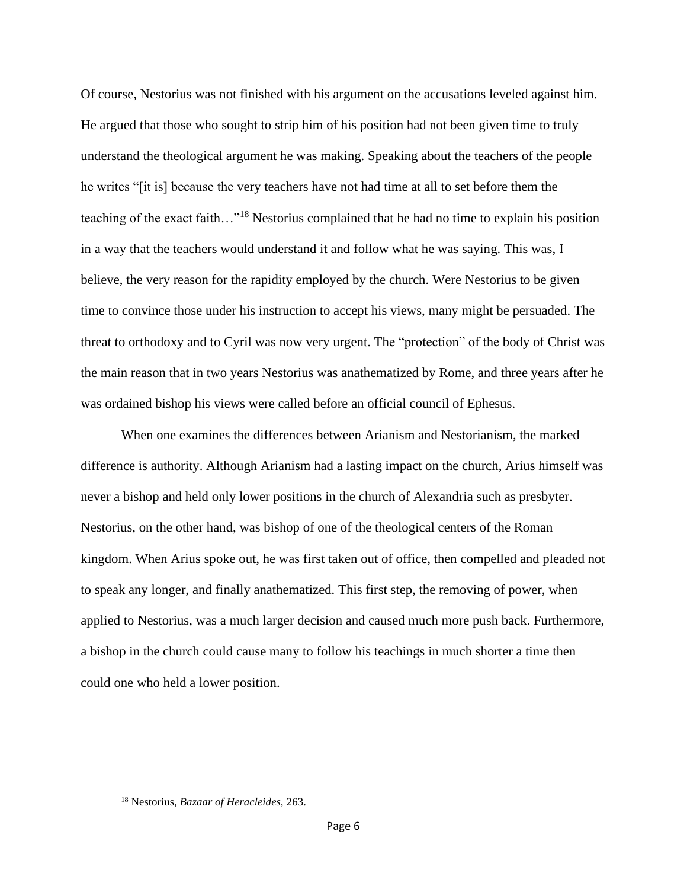Of course, Nestorius was not finished with his argument on the accusations leveled against him. He argued that those who sought to strip him of his position had not been given time to truly understand the theological argument he was making. Speaking about the teachers of the people he writes "[it is] because the very teachers have not had time at all to set before them the teaching of the exact faith…"<sup>18</sup> Nestorius complained that he had no time to explain his position in a way that the teachers would understand it and follow what he was saying. This was, I believe, the very reason for the rapidity employed by the church. Were Nestorius to be given time to convince those under his instruction to accept his views, many might be persuaded. The threat to orthodoxy and to Cyril was now very urgent. The "protection" of the body of Christ was the main reason that in two years Nestorius was anathematized by Rome, and three years after he was ordained bishop his views were called before an official council of Ephesus.

When one examines the differences between Arianism and Nestorianism, the marked difference is authority. Although Arianism had a lasting impact on the church, Arius himself was never a bishop and held only lower positions in the church of Alexandria such as presbyter. Nestorius, on the other hand, was bishop of one of the theological centers of the Roman kingdom. When Arius spoke out, he was first taken out of office, then compelled and pleaded not to speak any longer, and finally anathematized. This first step, the removing of power, when applied to Nestorius, was a much larger decision and caused much more push back. Furthermore, a bishop in the church could cause many to follow his teachings in much shorter a time then could one who held a lower position.

<sup>18</sup> Nestorius, *Bazaar of Heracleides,* 263.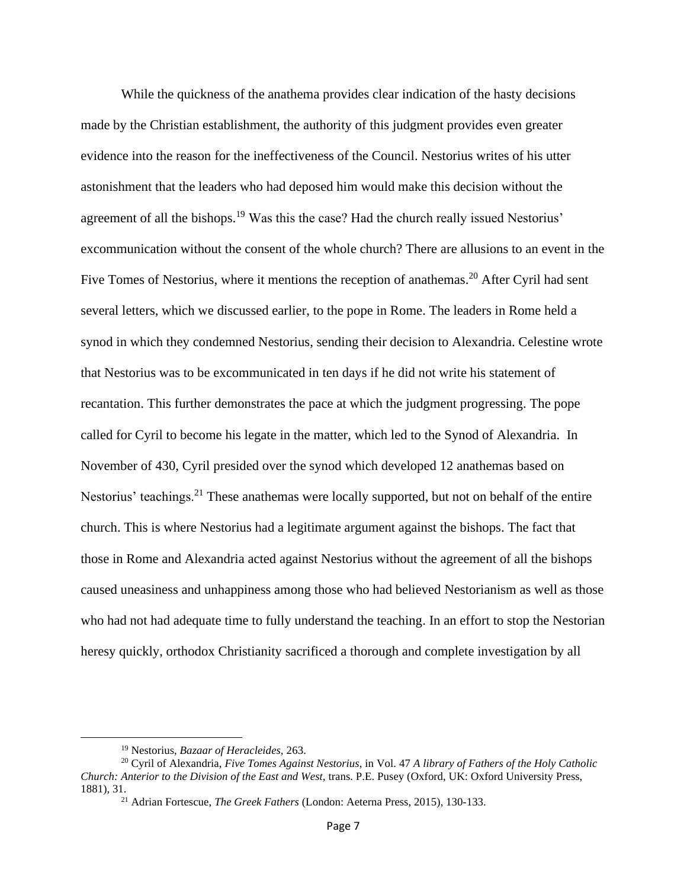While the quickness of the anathema provides clear indication of the hasty decisions made by the Christian establishment, the authority of this judgment provides even greater evidence into the reason for the ineffectiveness of the Council. Nestorius writes of his utter astonishment that the leaders who had deposed him would make this decision without the agreement of all the bishops.<sup>19</sup> Was this the case? Had the church really issued Nestorius' excommunication without the consent of the whole church? There are allusions to an event in the Five Tomes of Nestorius, where it mentions the reception of anathemas.<sup>20</sup> After Cyril had sent several letters, which we discussed earlier, to the pope in Rome. The leaders in Rome held a synod in which they condemned Nestorius, sending their decision to Alexandria. Celestine wrote that Nestorius was to be excommunicated in ten days if he did not write his statement of recantation. This further demonstrates the pace at which the judgment progressing. The pope called for Cyril to become his legate in the matter, which led to the Synod of Alexandria. In November of 430, Cyril presided over the synod which developed 12 anathemas based on Nestorius' teachings.<sup>21</sup> These anathemas were locally supported, but not on behalf of the entire church. This is where Nestorius had a legitimate argument against the bishops. The fact that those in Rome and Alexandria acted against Nestorius without the agreement of all the bishops caused uneasiness and unhappiness among those who had believed Nestorianism as well as those who had not had adequate time to fully understand the teaching. In an effort to stop the Nestorian heresy quickly, orthodox Christianity sacrificed a thorough and complete investigation by all

<sup>19</sup> Nestorius, *Bazaar of Heracleides,* 263.

<sup>20</sup> Cyril of Alexandria, *Five Tomes Against Nestorius*, in Vol. 47 *A library of Fathers of the Holy Catholic Church: Anterior to the Division of the East and West,* trans. P.E. Pusey (Oxford, UK: Oxford University Press, 1881), 31.

<sup>21</sup> Adrian Fortescue, *The Greek Fathers* (London: Aeterna Press, 2015), 130-133.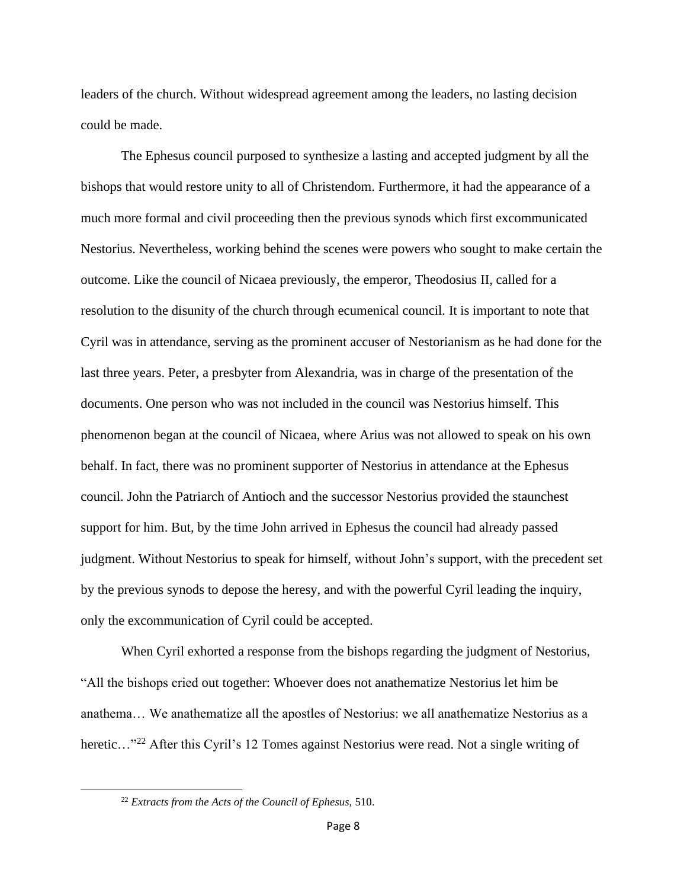leaders of the church. Without widespread agreement among the leaders, no lasting decision could be made.

The Ephesus council purposed to synthesize a lasting and accepted judgment by all the bishops that would restore unity to all of Christendom. Furthermore, it had the appearance of a much more formal and civil proceeding then the previous synods which first excommunicated Nestorius. Nevertheless, working behind the scenes were powers who sought to make certain the outcome. Like the council of Nicaea previously, the emperor, Theodosius II, called for a resolution to the disunity of the church through ecumenical council. It is important to note that Cyril was in attendance, serving as the prominent accuser of Nestorianism as he had done for the last three years. Peter, a presbyter from Alexandria, was in charge of the presentation of the documents. One person who was not included in the council was Nestorius himself. This phenomenon began at the council of Nicaea, where Arius was not allowed to speak on his own behalf. In fact, there was no prominent supporter of Nestorius in attendance at the Ephesus council. John the Patriarch of Antioch and the successor Nestorius provided the staunchest support for him. But, by the time John arrived in Ephesus the council had already passed judgment. Without Nestorius to speak for himself, without John's support, with the precedent set by the previous synods to depose the heresy, and with the powerful Cyril leading the inquiry, only the excommunication of Cyril could be accepted.

When Cyril exhorted a response from the bishops regarding the judgment of Nestorius, "All the bishops cried out together: Whoever does not anathematize Nestorius let him be anathema… We anathematize all the apostles of Nestorius: we all anathematize Nestorius as a heretic..."<sup>22</sup> After this Cyril's 12 Tomes against Nestorius were read. Not a single writing of

<sup>22</sup> *Extracts from the Acts of the Council of Ephesus,* 510.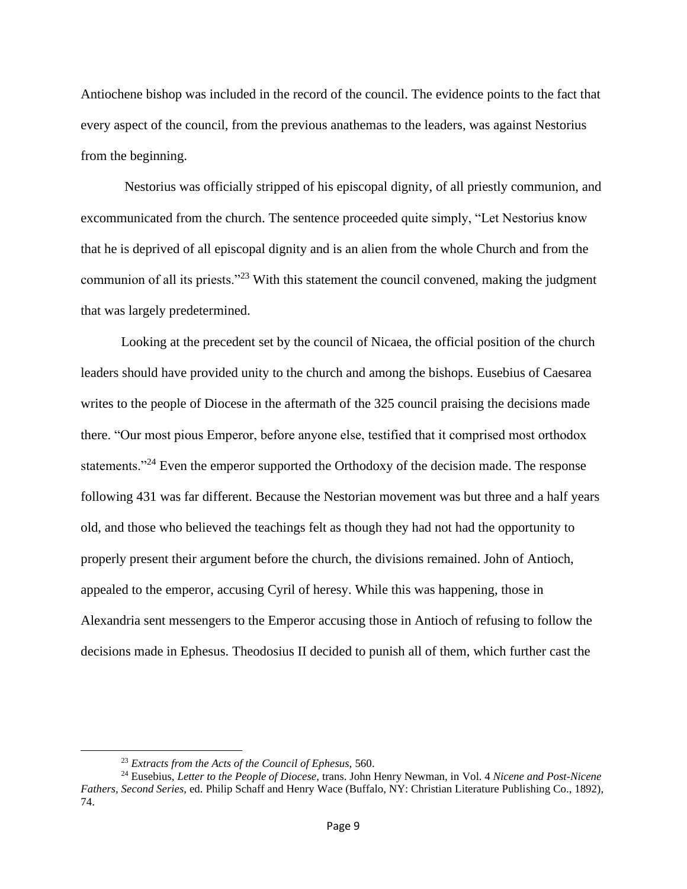Antiochene bishop was included in the record of the council. The evidence points to the fact that every aspect of the council, from the previous anathemas to the leaders, was against Nestorius from the beginning.

Nestorius was officially stripped of his episcopal dignity, of all priestly communion, and excommunicated from the church. The sentence proceeded quite simply, "Let Nestorius know that he is deprived of all episcopal dignity and is an alien from the whole Church and from the communion of all its priests."<sup>23</sup> With this statement the council convened, making the judgment that was largely predetermined.

Looking at the precedent set by the council of Nicaea, the official position of the church leaders should have provided unity to the church and among the bishops. Eusebius of Caesarea writes to the people of Diocese in the aftermath of the 325 council praising the decisions made there. "Our most pious Emperor, before anyone else, testified that it comprised most orthodox statements."<sup>24</sup> Even the emperor supported the Orthodoxy of the decision made. The response following 431 was far different. Because the Nestorian movement was but three and a half years old, and those who believed the teachings felt as though they had not had the opportunity to properly present their argument before the church, the divisions remained. John of Antioch, appealed to the emperor, accusing Cyril of heresy. While this was happening, those in Alexandria sent messengers to the Emperor accusing those in Antioch of refusing to follow the decisions made in Ephesus. Theodosius II decided to punish all of them, which further cast the

<sup>23</sup> *Extracts from the Acts of the Council of Ephesus,* 560.

<sup>24</sup> Eusebius, *Letter to the People of Diocese,* trans. John Henry Newman, in Vol. 4 *Nicene and Post-Nicene Fathers, Second Series,* ed. Philip Schaff and Henry Wace (Buffalo, NY: Christian Literature Publishing Co., 1892), 74.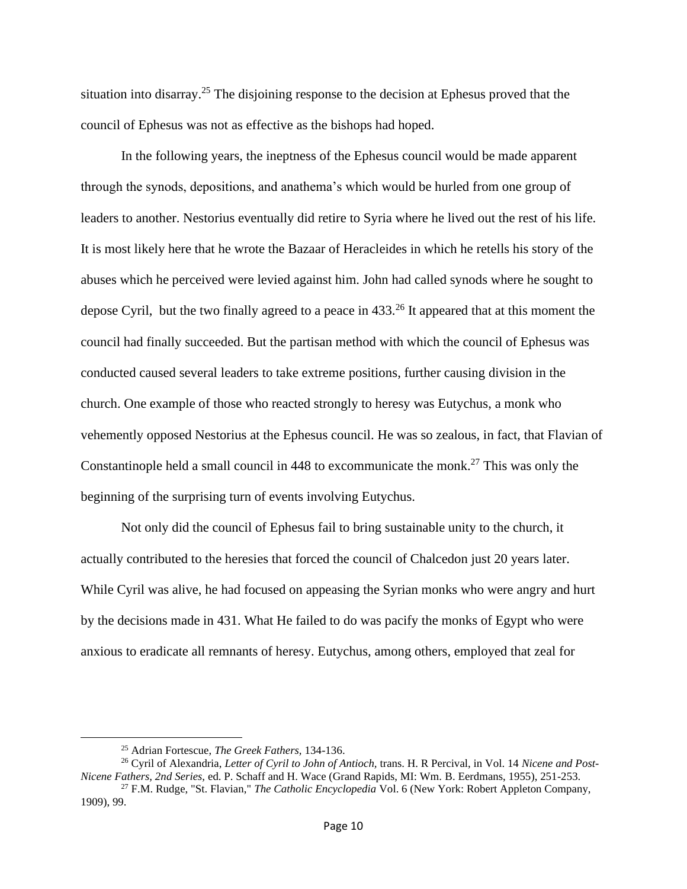situation into disarray.<sup>25</sup> The disjoining response to the decision at Ephesus proved that the council of Ephesus was not as effective as the bishops had hoped.

In the following years, the ineptness of the Ephesus council would be made apparent through the synods, depositions, and anathema's which would be hurled from one group of leaders to another. Nestorius eventually did retire to Syria where he lived out the rest of his life. It is most likely here that he wrote the Bazaar of Heracleides in which he retells his story of the abuses which he perceived were levied against him. John had called synods where he sought to depose Cyril, but the two finally agreed to a peace in  $433<sup>26</sup>$  It appeared that at this moment the council had finally succeeded. But the partisan method with which the council of Ephesus was conducted caused several leaders to take extreme positions, further causing division in the church. One example of those who reacted strongly to heresy was Eutychus, a monk who vehemently opposed Nestorius at the Ephesus council. He was so zealous, in fact, that Flavian of Constantinople held a small council in 448 to excommunicate the monk.<sup>27</sup> This was only the beginning of the surprising turn of events involving Eutychus.

Not only did the council of Ephesus fail to bring sustainable unity to the church, it actually contributed to the heresies that forced the council of Chalcedon just 20 years later. While Cyril was alive, he had focused on appeasing the Syrian monks who were angry and hurt by the decisions made in 431. What He failed to do was pacify the monks of Egypt who were anxious to eradicate all remnants of heresy. Eutychus, among others, employed that zeal for

<sup>25</sup> Adrian Fortescue, *The Greek Fathers,* 134-136.

<sup>26</sup> Cyril of Alexandria, *Letter of Cyril to John of Antioch,* trans. H. R Percival, in Vol. 14 *Nicene and Post-Nicene Fathers, 2nd Series,* ed. P. Schaff and H. Wace (Grand Rapids, MI: Wm. B. Eerdmans, 1955), 251-253.

<sup>27</sup> F.M. Rudge, "St. Flavian," *The Catholic Encyclopedia* Vol. 6 (New York: Robert Appleton Company, 1909), 99.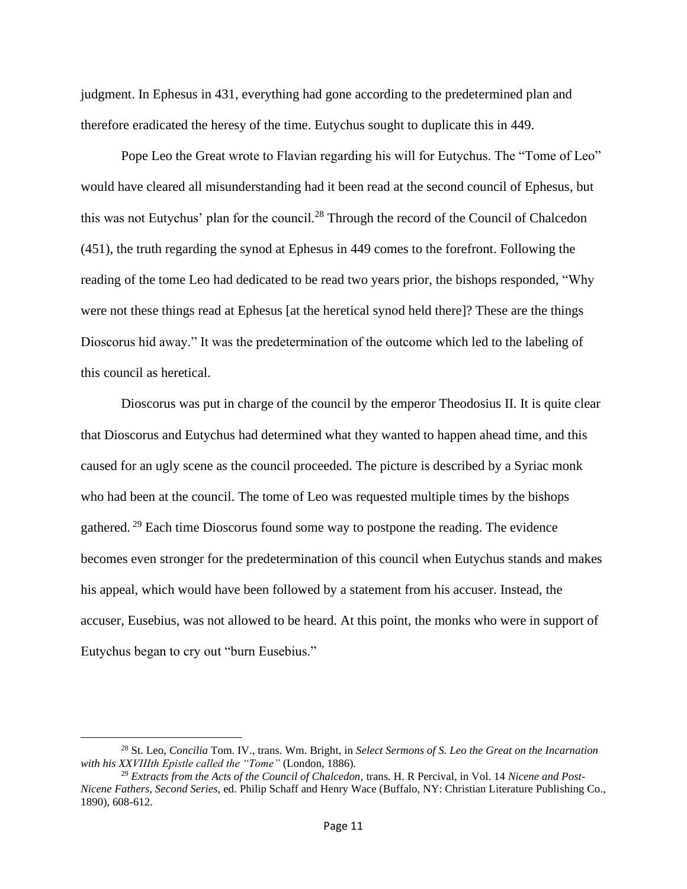judgment. In Ephesus in 431, everything had gone according to the predetermined plan and therefore eradicated the heresy of the time. Eutychus sought to duplicate this in 449.

Pope Leo the Great wrote to Flavian regarding his will for Eutychus. The "Tome of Leo" would have cleared all misunderstanding had it been read at the second council of Ephesus, but this was not Eutychus' plan for the council.<sup>28</sup> Through the record of the Council of Chalcedon (451), the truth regarding the synod at Ephesus in 449 comes to the forefront. Following the reading of the tome Leo had dedicated to be read two years prior, the bishops responded, "Why were not these things read at Ephesus [at the heretical synod held there]? These are the things Dioscorus hid away." It was the predetermination of the outcome which led to the labeling of this council as heretical.

Dioscorus was put in charge of the council by the emperor Theodosius II. It is quite clear that Dioscorus and Eutychus had determined what they wanted to happen ahead time, and this caused for an ugly scene as the council proceeded. The picture is described by a Syriac monk who had been at the council. The tome of Leo was requested multiple times by the bishops gathered. <sup>29</sup> Each time Dioscorus found some way to postpone the reading. The evidence becomes even stronger for the predetermination of this council when Eutychus stands and makes his appeal, which would have been followed by a statement from his accuser. Instead, the accuser, Eusebius, was not allowed to be heard. At this point, the monks who were in support of Eutychus began to cry out "burn Eusebius."

<sup>28</sup> St. Leo, *Concilia* Tom. IV., trans. Wm. Bright, in *Select Sermons of S. Leo the Great on the Incarnation with his XXVIIIth Epistle called the "Tome"* (London, 1886).

<sup>&</sup>lt;sup>29</sup> *Extracts from the Acts of the Council of Chalcedon, trans. H. R. Percival, in Vol. 14 <i>Nicene and Post-Nicene Fathers, Second Series,* ed. Philip Schaff and Henry Wace (Buffalo, NY: Christian Literature Publishing Co., 1890), 608-612.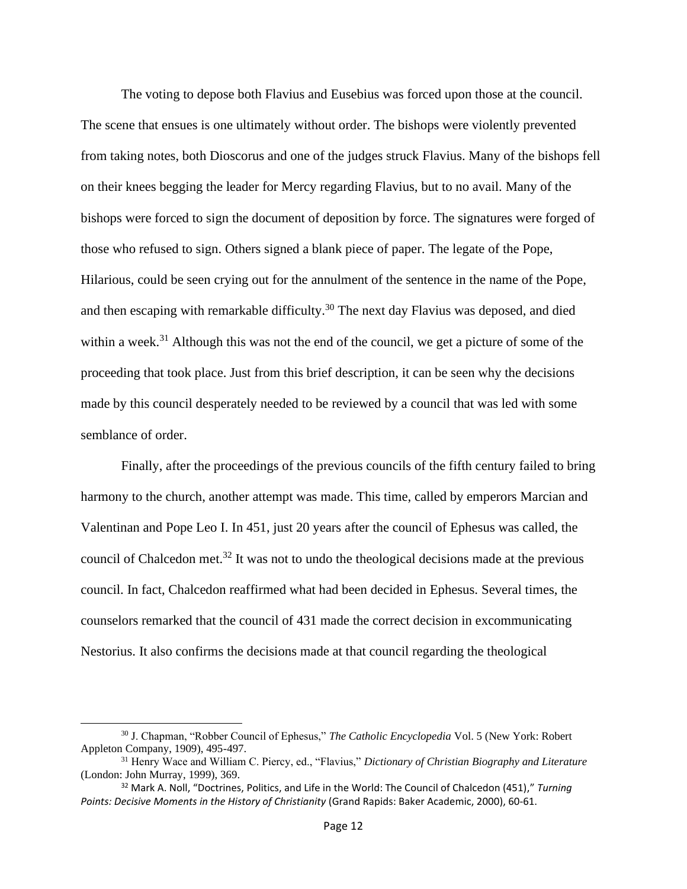The voting to depose both Flavius and Eusebius was forced upon those at the council. The scene that ensues is one ultimately without order. The bishops were violently prevented from taking notes, both Dioscorus and one of the judges struck Flavius. Many of the bishops fell on their knees begging the leader for Mercy regarding Flavius, but to no avail. Many of the bishops were forced to sign the document of deposition by force. The signatures were forged of those who refused to sign. Others signed a blank piece of paper. The legate of the Pope, Hilarious, could be seen crying out for the annulment of the sentence in the name of the Pope, and then escaping with remarkable difficulty.<sup>30</sup> The next day Flavius was deposed, and died within a week.<sup>31</sup> Although this was not the end of the council, we get a picture of some of the proceeding that took place. Just from this brief description, it can be seen why the decisions made by this council desperately needed to be reviewed by a council that was led with some semblance of order.

Finally, after the proceedings of the previous councils of the fifth century failed to bring harmony to the church, another attempt was made. This time, called by emperors Marcian and Valentinan and Pope Leo I. In 451, just 20 years after the council of Ephesus was called, the council of Chalcedon met.<sup>32</sup> It was not to undo the theological decisions made at the previous council. In fact, Chalcedon reaffirmed what had been decided in Ephesus. Several times, the counselors remarked that the council of 431 made the correct decision in excommunicating Nestorius. It also confirms the decisions made at that council regarding the theological

<sup>30</sup> J. Chapman, "Robber Council of Ephesus," *The Catholic Encyclopedia* Vol. 5 (New York: Robert Appleton Company, 1909), 495-497.

<sup>31</sup> Henry Wace and William C. Piercy, ed., "Flavius," *Dictionary of Christian Biography and Literature* (London: John Murray, 1999), 369.

<sup>32</sup> Mark A. Noll, "Doctrines, Politics, and Life in the World: The Council of Chalcedon (451)," *Turning Points: Decisive Moments in the History of Christianity* (Grand Rapids: Baker Academic, 2000), 60-61.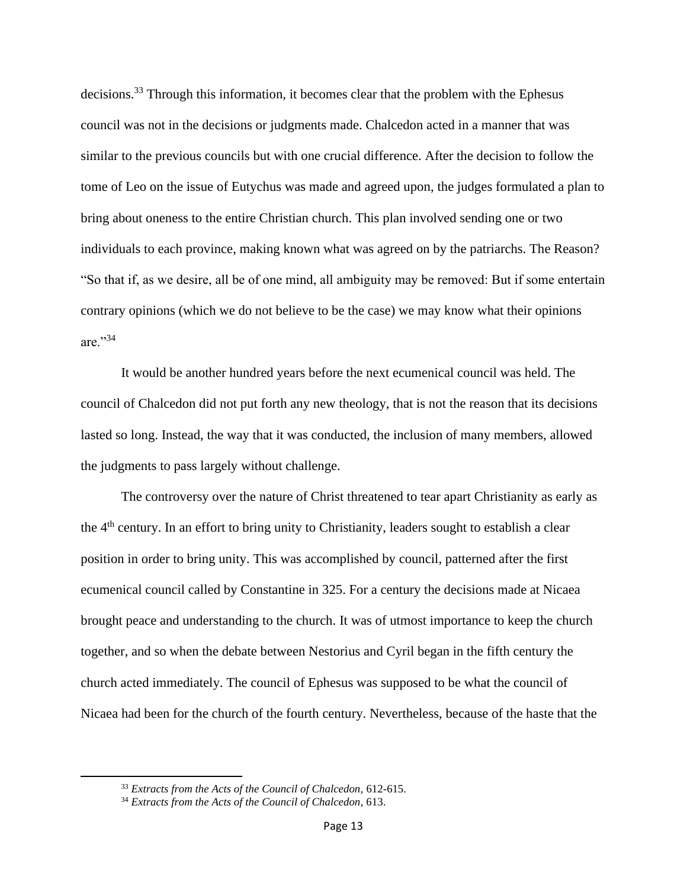decisions.<sup>33</sup> Through this information, it becomes clear that the problem with the Ephesus council was not in the decisions or judgments made. Chalcedon acted in a manner that was similar to the previous councils but with one crucial difference. After the decision to follow the tome of Leo on the issue of Eutychus was made and agreed upon, the judges formulated a plan to bring about oneness to the entire Christian church. This plan involved sending one or two individuals to each province, making known what was agreed on by the patriarchs. The Reason? "So that if, as we desire, all be of one mind, all ambiguity may be removed: But if some entertain contrary opinions (which we do not believe to be the case) we may know what their opinions are."34

It would be another hundred years before the next ecumenical council was held. The council of Chalcedon did not put forth any new theology, that is not the reason that its decisions lasted so long. Instead, the way that it was conducted, the inclusion of many members, allowed the judgments to pass largely without challenge.

The controversy over the nature of Christ threatened to tear apart Christianity as early as the 4<sup>th</sup> century. In an effort to bring unity to Christianity, leaders sought to establish a clear position in order to bring unity. This was accomplished by council, patterned after the first ecumenical council called by Constantine in 325. For a century the decisions made at Nicaea brought peace and understanding to the church. It was of utmost importance to keep the church together, and so when the debate between Nestorius and Cyril began in the fifth century the church acted immediately. The council of Ephesus was supposed to be what the council of Nicaea had been for the church of the fourth century. Nevertheless, because of the haste that the

<sup>33</sup> *Extracts from the Acts of the Council of Chalcedon,* 612-615.

<sup>34</sup> *Extracts from the Acts of the Council of Chalcedon*, 613.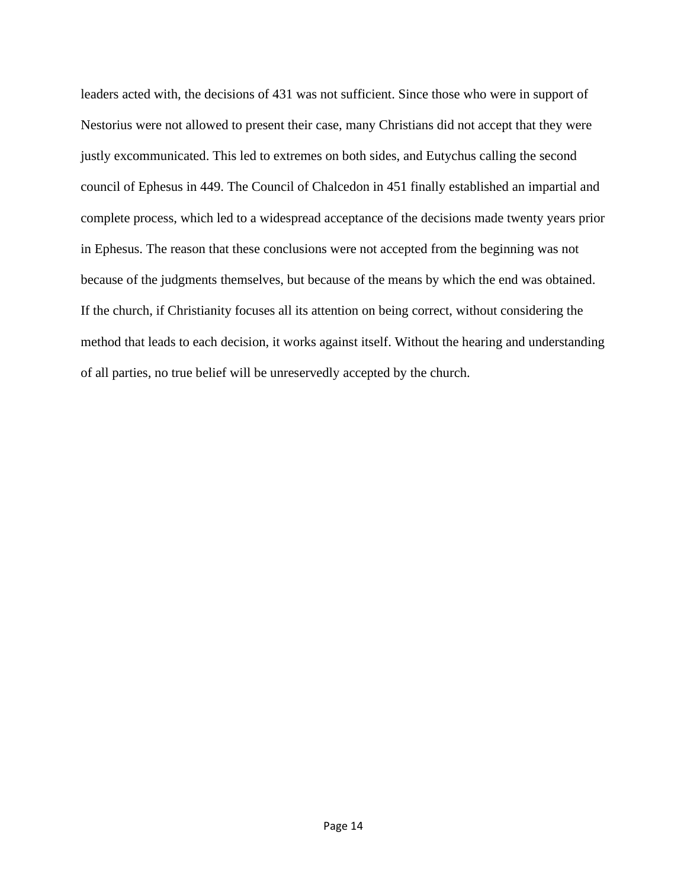leaders acted with, the decisions of 431 was not sufficient. Since those who were in support of Nestorius were not allowed to present their case, many Christians did not accept that they were justly excommunicated. This led to extremes on both sides, and Eutychus calling the second council of Ephesus in 449. The Council of Chalcedon in 451 finally established an impartial and complete process, which led to a widespread acceptance of the decisions made twenty years prior in Ephesus. The reason that these conclusions were not accepted from the beginning was not because of the judgments themselves, but because of the means by which the end was obtained. If the church, if Christianity focuses all its attention on being correct, without considering the method that leads to each decision, it works against itself. Without the hearing and understanding of all parties, no true belief will be unreservedly accepted by the church.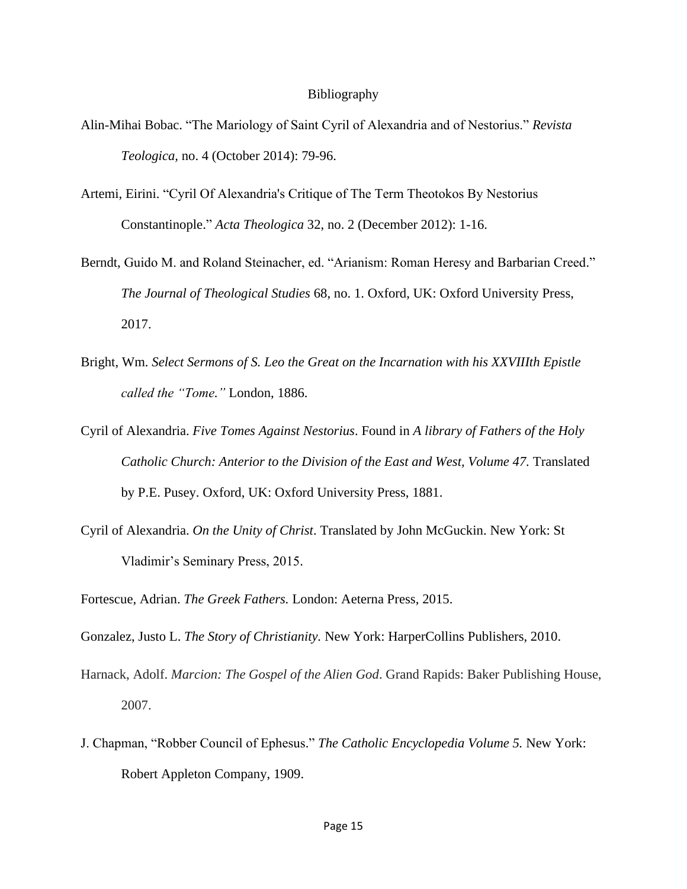## Bibliography

- Alin-Mihai Bobac. "The Mariology of Saint Cyril of Alexandria and of Nestorius." *Revista Teologica,* no. 4 (October 2014): 79-96.
- Artemi, Eirini. "Cyril Of Alexandria's Critique of The Term Theotokos By Nestorius Constantinople." *Acta Theologica* 32, no. 2 (December 2012): 1-16.
- Berndt, Guido M. and Roland Steinacher, ed. "Arianism: Roman Heresy and Barbarian Creed." *The Journal of Theological Studies* 68, no. 1. Oxford, UK: Oxford University Press, 2017.
- Bright, Wm. *Select Sermons of S. Leo the Great on the Incarnation with his XXVIIIth Epistle called the "Tome."* London, 1886.
- Cyril of Alexandria. *Five Tomes Against Nestorius*. Found in *A library of Fathers of the Holy Catholic Church: Anterior to the Division of the East and West, Volume 47.* Translated by P.E. Pusey. Oxford, UK: Oxford University Press, 1881.
- Cyril of Alexandria. *On the Unity of Christ*. Translated by John McGuckin. New York: St Vladimir's Seminary Press, 2015.

Fortescue, Adrian. *The Greek Fathers.* London: Aeterna Press, 2015.

Gonzalez, Justo L. *The Story of Christianity.* New York: HarperCollins Publishers, 2010.

- Harnack, Adolf. *Marcion: The Gospel of the Alien God*. Grand Rapids: Baker Publishing House, 2007.
- J. Chapman, "Robber Council of Ephesus." *The Catholic Encyclopedia Volume 5.* New York: Robert Appleton Company, 1909.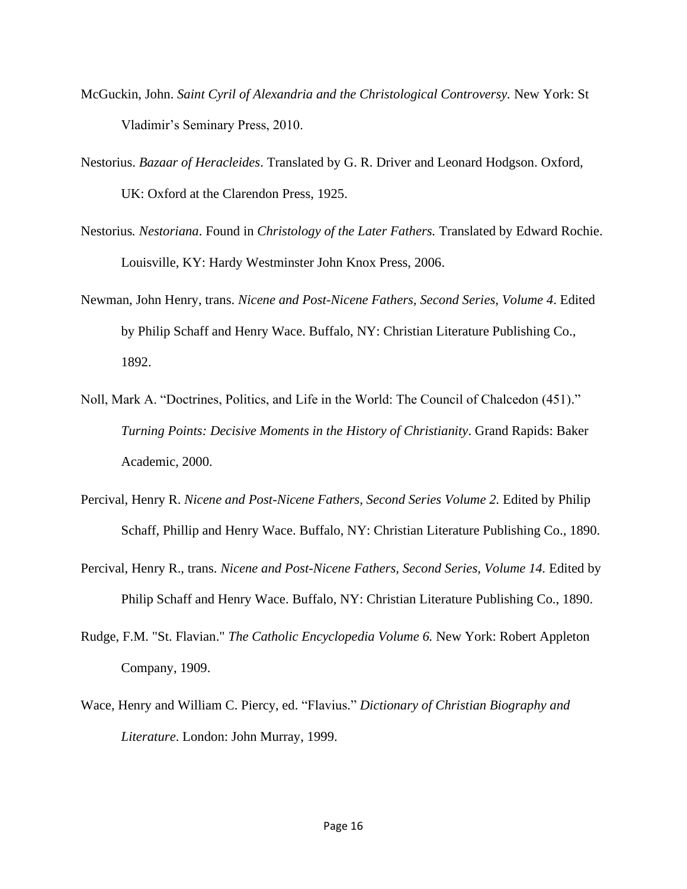- McGuckin, John. *Saint Cyril of Alexandria and the Christological Controversy.* New York: St Vladimir's Seminary Press, 2010.
- Nestorius. *Bazaar of Heracleides*. Translated by G. R. Driver and Leonard Hodgson. Oxford, UK: Oxford at the Clarendon Press, 1925.
- Nestorius*. Nestoriana*. Found in *Christology of the Later Fathers.* Translated by Edward Rochie. Louisville, KY: Hardy Westminster John Knox Press, 2006.
- Newman, John Henry, trans. *Nicene and Post-Nicene Fathers, Second Series, Volume 4*. Edited by Philip Schaff and Henry Wace. Buffalo, NY: Christian Literature Publishing Co., 1892.
- Noll, Mark A. "Doctrines, Politics, and Life in the World: The Council of Chalcedon (451)." *Turning Points: Decisive Moments in the History of Christianity*. Grand Rapids: Baker Academic, 2000.
- Percival, Henry R. *Nicene and Post-Nicene Fathers, Second Series Volume 2.* Edited by Philip Schaff, Phillip and Henry Wace. Buffalo, NY: Christian Literature Publishing Co., 1890.
- Percival, Henry R., trans. *Nicene and Post-Nicene Fathers, Second Series, Volume 14.* Edited by Philip Schaff and Henry Wace. Buffalo, NY: Christian Literature Publishing Co., 1890.
- Rudge, F.M. "St. Flavian." *The Catholic Encyclopedia Volume 6.* New York: Robert Appleton Company, 1909.
- Wace, Henry and William C. Piercy, ed. "Flavius." *Dictionary of Christian Biography and Literature*. London: John Murray, 1999.